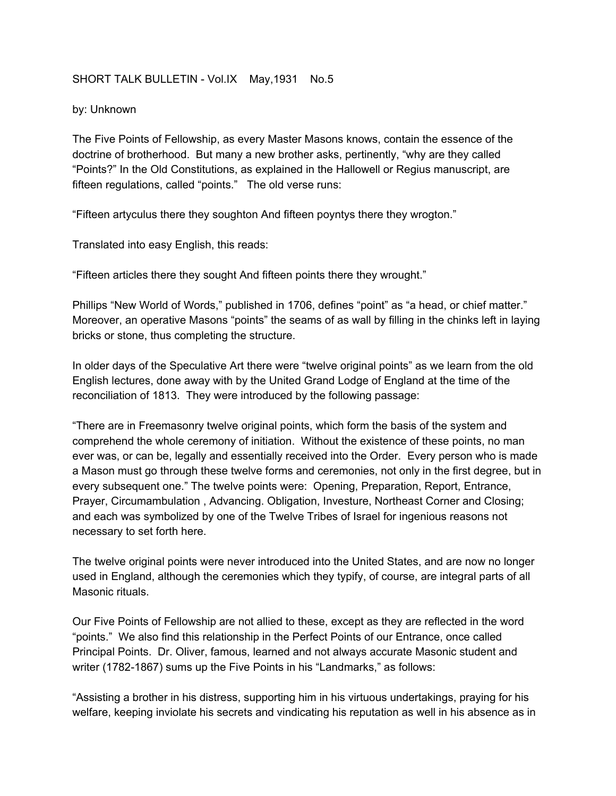## SHORT TALK BULLETIN - Vol.IX May, 1931 No.5

## by: Unknown

The Five Points of Fellowship, as every Master Masons knows, contain the essence of the doctrine of brotherhood. But many a new brother asks, pertinently, "why are they called "Points?" In the Old Constitutions, as explained in the Hallowell or Regius manuscript, are fifteen regulations, called "points." The old verse runs:

"Fifteen artyculus there they soughton And fifteen poyntys there they wrogton."

Translated into easy English, this reads:

"Fifteen articles there they sought And fifteen points there they wrought."

Phillips "New World of Words," published in 1706, defines "point" as "a head, or chief matter." Moreover, an operative Masons "points" the seams of as wall by filling in the chinks left in laying bricks or stone, thus completing the structure.

In older days of the Speculative Art there were "twelve original points" as we learn from the old English lectures, done away with by the United Grand Lodge of England at the time of the reconciliation of 1813. They were introduced by the following passage:

"There are in Freemasonry twelve original points, which form the basis of the system and comprehend the whole ceremony of initiation. Without the existence of these points, no man ever was, or can be, legally and essentially received into the Order. Every person who is made a Mason must go through these twelve forms and ceremonies, not only in the first degree, but in every subsequent one." The twelve points were: Opening, Preparation, Report, Entrance, Prayer, Circumambulation , Advancing. Obligation, Investure, Northeast Corner and Closing; and each was symbolized by one of the Twelve Tribes of Israel for ingenious reasons not necessary to set forth here.

The twelve original points were never introduced into the United States, and are now no longer used in England, although the ceremonies which they typify, of course, are integral parts of all Masonic rituals.

Our Five Points of Fellowship are not allied to these, except as they are reflected in the word "points." We also find this relationship in the Perfect Points of our Entrance, once called Principal Points. Dr. Oliver, famous, learned and not always accurate Masonic student and writer (1782-1867) sums up the Five Points in his "Landmarks," as follows:

"Assisting a brother in his distress, supporting him in his virtuous undertakings, praying for his welfare, keeping inviolate his secrets and vindicating his reputation as well in his absence as in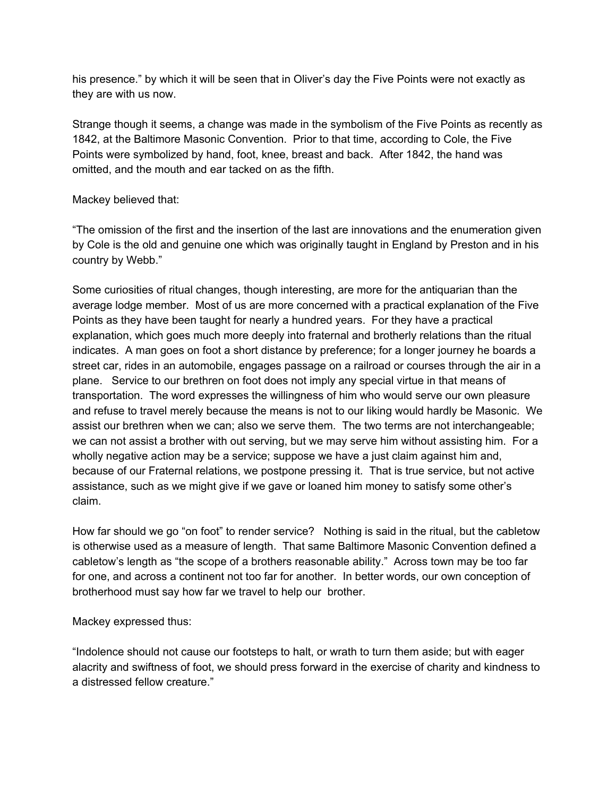his presence." by which it will be seen that in Oliver's day the Five Points were not exactly as they are with us now.

Strange though it seems, a change was made in the symbolism of the Five Points as recently as 1842, at the Baltimore Masonic Convention. Prior to that time, according to Cole, the Five Points were symbolized by hand, foot, knee, breast and back. After 1842, the hand was omitted, and the mouth and ear tacked on as the fifth.

## Mackey believed that:

"The omission of the first and the insertion of the last are innovations and the enumeration given by Cole is the old and genuine one which was originally taught in England by Preston and in his country by Webb."

Some curiosities of ritual changes, though interesting, are more for the antiquarian than the average lodge member. Most of us are more concerned with a practical explanation of the Five Points as they have been taught for nearly a hundred years. For they have a practical explanation, which goes much more deeply into fraternal and brotherly relations than the ritual indicates. A man goes on foot a short distance by preference; for a longer journey he boards a street car, rides in an automobile, engages passage on a railroad or courses through the air in a plane. Service to our brethren on foot does not imply any special virtue in that means of transportation. The word expresses the willingness of him who would serve our own pleasure and refuse to travel merely because the means is not to our liking would hardly be Masonic. We assist our brethren when we can; also we serve them. The two terms are not interchangeable; we can not assist a brother with out serving, but we may serve him without assisting him. For a wholly negative action may be a service; suppose we have a just claim against him and, because of our Fraternal relations, we postpone pressing it. That is true service, but not active assistance, such as we might give if we gave or loaned him money to satisfy some other's claim.

How far should we go "on foot" to render service? Nothing is said in the ritual, but the cabletow is otherwise used as a measure of length. That same Baltimore Masonic Convention defined a cabletow's length as "the scope of a brothers reasonable ability." Across town may be too far for one, and across a continent not too far for another. In better words, our own conception of brotherhood must say how far we travel to help our brother.

Mackey expressed thus:

"Indolence should not cause our footsteps to halt, or wrath to turn them aside; but with eager alacrity and swiftness of foot, we should press forward in the exercise of charity and kindness to a distressed fellow creature."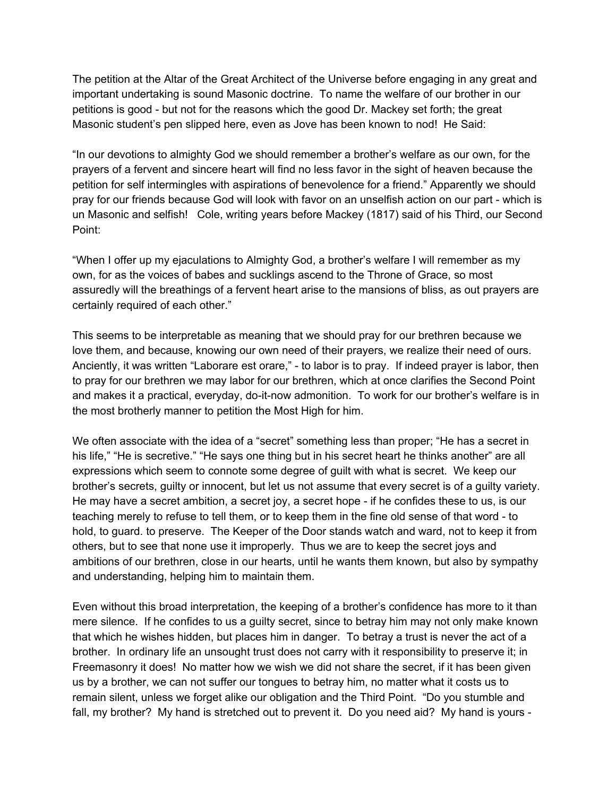The petition at the Altar of the Great Architect of the Universe before engaging in any great and important undertaking is sound Masonic doctrine. To name the welfare of our brother in our petitions is good - but not for the reasons which the good Dr. Mackey set forth; the great Masonic student's pen slipped here, even as Jove has been known to nod! He Said:

"In our devotions to almighty God we should remember a brother's welfare as our own, for the prayers of a fervent and sincere heart will find no less favor in the sight of heaven because the petition for self intermingles with aspirations of benevolence for a friend." Apparently we should pray for our friends because God will look with favor on an unselfish action on our part - which is un Masonic and selfish! Cole, writing years before Mackey (1817) said of his Third, our Second Point:

"When I offer up my ejaculations to Almighty God, a brother's welfare I will remember as my own, for as the voices of babes and sucklings ascend to the Throne of Grace, so most assuredly will the breathings of a fervent heart arise to the mansions of bliss, as out prayers are certainly required of each other."

This seems to be interpretable as meaning that we should pray for our brethren because we love them, and because, knowing our own need of their prayers, we realize their need of ours. Anciently, it was written "Laborare est orare," - to labor is to pray. If indeed prayer is labor, then to pray for our brethren we may labor for our brethren, which at once clarifies the Second Point and makes it a practical, everyday, do-it-now admonition. To work for our brother's welfare is in the most brotherly manner to petition the Most High for him.

We often associate with the idea of a "secret" something less than proper; "He has a secret in his life," "He is secretive." "He says one thing but in his secret heart he thinks another" are all expressions which seem to connote some degree of guilt with what is secret. We keep our brother's secrets, guilty or innocent, but let us not assume that every secret is of a guilty variety. He may have a secret ambition, a secret joy, a secret hope - if he confides these to us, is our teaching merely to refuse to tell them, or to keep them in the fine old sense of that word - to hold, to guard. to preserve. The Keeper of the Door stands watch and ward, not to keep it from others, but to see that none use it improperly. Thus we are to keep the secret joys and ambitions of our brethren, close in our hearts, until he wants them known, but also by sympathy and understanding, helping him to maintain them.

Even without this broad interpretation, the keeping of a brother's confidence has more to it than mere silence. If he confides to us a guilty secret, since to betray him may not only make known that which he wishes hidden, but places him in danger. To betray a trust is never the act of a brother. In ordinary life an unsought trust does not carry with it responsibility to preserve it; in Freemasonry it does! No matter how we wish we did not share the secret, if it has been given us by a brother, we can not suffer our tongues to betray him, no matter what it costs us to remain silent, unless we forget alike our obligation and the Third Point. "Do you stumble and fall, my brother? My hand is stretched out to prevent it. Do you need aid? My hand is yours -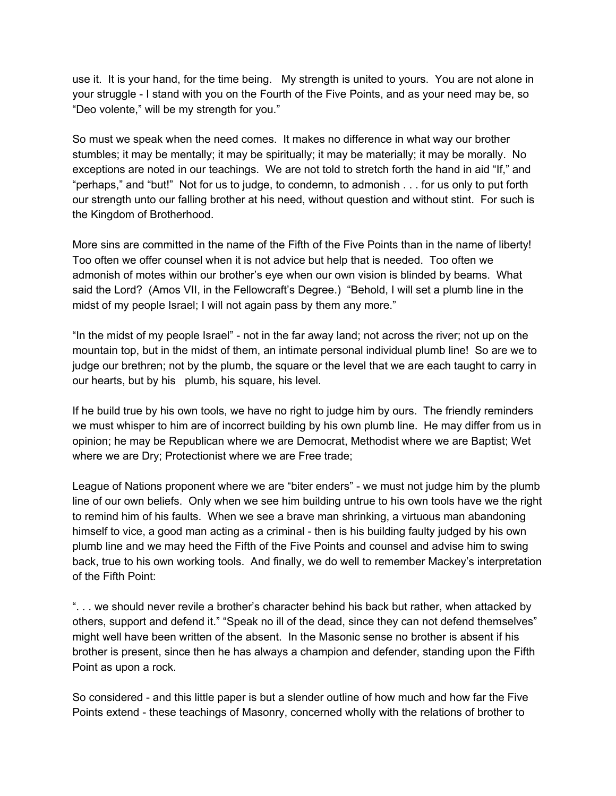use it. It is your hand, for the time being. My strength is united to yours. You are not alone in your struggle - I stand with you on the Fourth of the Five Points, and as your need may be, so "Deo volente," will be my strength for you."

So must we speak when the need comes. It makes no difference in what way our brother stumbles; it may be mentally; it may be spiritually; it may be materially; it may be morally. No exceptions are noted in our teachings. We are not told to stretch forth the hand in aid "If," and "perhaps," and "but!" Not for us to judge, to condemn, to admonish . . . for us only to put forth our strength unto our falling brother at his need, without question and without stint. For such is the Kingdom of Brotherhood.

More sins are committed in the name of the Fifth of the Five Points than in the name of liberty! Too often we offer counsel when it is not advice but help that is needed. Too often we admonish of motes within our brother's eye when our own vision is blinded by beams. What said the Lord? (Amos VII, in the Fellowcraft's Degree.) "Behold, I will set a plumb line in the midst of my people Israel; I will not again pass by them any more."

"In the midst of my people Israel" - not in the far away land; not across the river; not up on the mountain top, but in the midst of them, an intimate personal individual plumb line! So are we to judge our brethren; not by the plumb, the square or the level that we are each taught to carry in our hearts, but by his plumb, his square, his level.

If he build true by his own tools, we have no right to judge him by ours. The friendly reminders we must whisper to him are of incorrect building by his own plumb line. He may differ from us in opinion; he may be Republican where we are Democrat, Methodist where we are Baptist; Wet where we are Dry; Protectionist where we are Free trade;

League of Nations proponent where we are "biter enders" - we must not judge him by the plumb line of our own beliefs. Only when we see him building untrue to his own tools have we the right to remind him of his faults. When we see a brave man shrinking, a virtuous man abandoning himself to vice, a good man acting as a criminal - then is his building faulty judged by his own plumb line and we may heed the Fifth of the Five Points and counsel and advise him to swing back, true to his own working tools. And finally, we do well to remember Mackey's interpretation of the Fifth Point:

". . . we should never revile a brother's character behind his back but rather, when attacked by others, support and defend it." "Speak no ill of the dead, since they can not defend themselves" might well have been written of the absent. In the Masonic sense no brother is absent if his brother is present, since then he has always a champion and defender, standing upon the Fifth Point as upon a rock.

So considered - and this little paper is but a slender outline of how much and how far the Five Points extend - these teachings of Masonry, concerned wholly with the relations of brother to